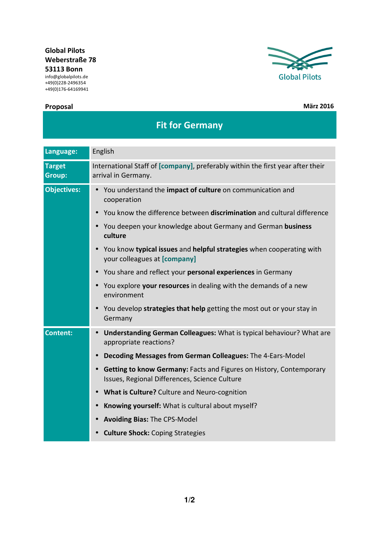## **Global Pilots Weberstraße 78 53113 Bonn**

info@globalpilots.de +49(0)228-2496354 +49(0)176-64169941

## **Proposal März 2016**



| Language:                      | English                                                                                                                           |
|--------------------------------|-----------------------------------------------------------------------------------------------------------------------------------|
| <b>Target</b><br><b>Group:</b> | International Staff of [company], preferably within the first year after their<br>arrival in Germany.                             |
| <b>Objectives:</b>             | You understand the impact of culture on communication and<br>$\bullet$<br>cooperation                                             |
|                                | You know the difference between discrimination and cultural difference                                                            |
|                                | You deepen your knowledge about Germany and German business<br>$\bullet$<br>culture                                               |
|                                | You know typical issues and helpful strategies when cooperating with<br>your colleagues at [company]                              |
|                                | You share and reflect your personal experiences in Germany<br>$\bullet$                                                           |
|                                | You explore your resources in dealing with the demands of a new<br>environment                                                    |
|                                | You develop strategies that help getting the most out or your stay in<br>$\bullet$<br>Germany                                     |
| <b>Content:</b>                | Understanding German Colleagues: What is typical behaviour? What are<br>$\bullet$<br>appropriate reactions?                       |
|                                | Decoding Messages from German Colleagues: The 4-Ears-Model                                                                        |
|                                | Getting to know Germany: Facts and Figures on History, Contemporary<br>$\bullet$<br>Issues, Regional Differences, Science Culture |
|                                | What is Culture? Culture and Neuro-cognition<br>$\bullet$                                                                         |
|                                | Knowing yourself: What is cultural about myself?<br>$\bullet$                                                                     |
|                                | <b>Avoiding Bias: The CPS-Model</b><br>$\bullet$                                                                                  |
|                                | <b>Culture Shock: Coping Strategies</b>                                                                                           |

**Fit for Germany**